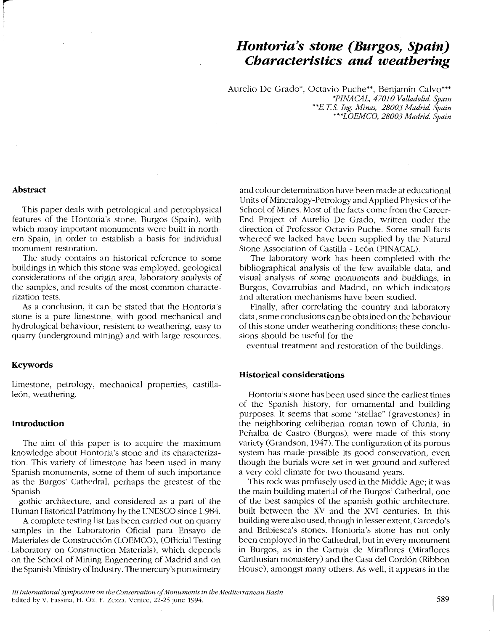# *Hontoria's stone (Burgos, Spain) Characteristics and weathering*

Aurelio De Grado\*, Octavio Puche\*\*, Benjamín Calvo\*\*\* *\*PINACAL, 47010 Valladolid. Spain \*\*E* T.s. *Ing. Minas, 28003 Madrid. Spain \*\*\*LOEMCO, 28003 Madrid. Spain*

#### **Abstract**

This paper deals with petrological and petrophysical features of the Hontoria's stone, Burgos (Spain), with which many important monuments were built in northern Spain, in order to establish a basis for individual monument restoration.

The study contains an historical reference to some buildings in which this stone was employed, geological considerations of the origin area, laboratory analysis of the samples, and results of the most common characterization tests.

As a conclusion, it can be stated that the Hontoria's stone is a pure limestone, with good mechanical and hydrological behaviour, resistent to weathering, easy to quarry (underground mining) and with large resources.

#### **Keywords**

Limestone, petrology, mechanical properties, castillaleón, weathering.

### **Introduction**

The aim of this paper is to acquire the maximum knowledge about Hontoria's stone and its characterization. This variety of limestone has been used in many Spanish monuments, some of them of such importance as the Burgos' Cathedral, perhaps the greatest of the Spanish

gorhic architecture, and considered as a part of the Human Historical Patrimony by the UNESCO since 1.984.

A complete testing list has been carried out on quarry samples in the Laboratorio Oficial para Ensayo de Materiales de Construcción (LOEMCO), (Official Testing Laboratory on Construction Materials), which depends on the School of Mining Engeneering of Madrid and on the Spanish Ministry of Industry. The mercury's porosimetry

and colour determination have been made at educational Units of Mineralogy-Petrology and Applied Physics of the School of Mines. Most of the facts come from the Career-End Project of Aurelio De Grado, written under the direction of Professor Octavio Puche. Sorne small facts whereof we lacked have been supplied by the Natural Stone Association of Castilla - León (PINACAL).

The laboratory work has been completed with the bibliographical analysis of the few available data, and visual analysis of sorne monuments and buildings, in Burgos, Covarrubias and Madrid, on which indicators and alteration mechanisms have been studied.

Finally, after correlating the country and laboratory data, some conclusions can be obtained on the behaviour of this stone under weathering conditions; these conclusions should be useful for the

eventual treatment and restoration of the buildings.

# **Historical considerations**

Hontoria's stone has been used since the earliest times of the Spanish history, for ornamental and building purposes. It seems that some "stellae" (gravestones) in the neighboring celtiberian roman town of Clunia, in Peñalba de Castro (Burgos), were made of this stony variety (Grandson, 1947). The configuration of its porous system has made 'possible its good conservation, even though the burials were set in wet ground and suffered a very cold climate for two thousand years.

This rock was profusely used in the Middle Age; it was the main building material of the Burgos' Cathedral, one of the best samples of the spanish gothic architecture, built between the XV and the XVI centuries. **In** this building were also used, though in lesser extent, Carcedo's and Bribiesca's stones. Hontoria's stone has not only been employed in the Cathedral, but in every monument in Burgos, as in the Cartuja de Miraflores (Miraflores Carthusian monastery) and the Casa del Cordón (Ribbon House), amongst many others. As well, it appears in the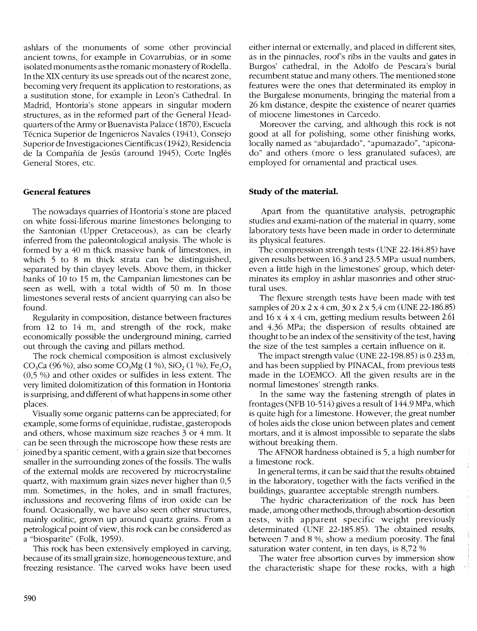ashlars of the monuments of some other provincial ancient towns, for example in Covarrubias, or in some isolated monuments as the romanic monastery of Rodella. In the XIX century its use spreads out of the nearest zone, becoming very frequent its application to restorations, as a sustitution stone, for example in Leon's Cathedral. In Madrid, Hontoria's stone appears in singular modern structures, as in the reformed part of the General Headquarters of the Army or Buenavista Palace (1870), Escuela Técnica Superior de Ingenieros Navales (1941), Consejo Superior de Investigaciones Científicas (1942), Residencia de la Compañía de Jesús (around 1945), Corte Inglés General Stores, etc.

### **General features**

The nowadays quarries of Hontoria's stone are placed on white fossi-liferous marine limestones belonging to the Santonian (Upper Cretaceous), as can be clearly inferred from the paleontological analysis. The whole is formed by a 40 m thick massive bank of limestones, in which 5 to 8 m thick strata can be distinguished, separated by thin clayey levels. Above them, in thicker banks of 10 to 15 m, the Campanian limestones can be seen as we11, with a total width of 50 m. In those limestones several rests of ancient quarrying can also be found.

Regularity in composition, distance between fractures from 12 to 14 m, and strength of the rock, make economically possible the underground mining, carried out through the caving and pillars method.

The rock chemical composition is almost exclusively CO<sub>3</sub>Ca (96 %), also some CO<sub>3</sub>Mg (1 %), SiO<sub>2</sub> (1 %), Fe<sub>2</sub>O<sub>3</sub> (0,5 %) and other oxides or sulfides in less extent. The very limited dolomitization of this formation in Hontoria is surprising, and different of what happens in some other places.

Visua11y some organic patterns can be appreciated; for example, some forms of equinidae, rudistae, gasteropods and others, whose maximum size reaches 3 or 4 mm. It can be seen through the microscope how these rests are joined by a sparitic cement, with a grain size that becomes smaller in the surrounding zones of the fossils. The walls of the external molds are recovered by microcrystaline quartz, with maximum grain sizes never higher than 0,5 mm. Sometimes, in the holes, and in small fractures, inclussions and recovering films of iron oxide can be found. Ocasionally, we have also seen other structures, mainly oolitic, grown up around quartz grains. From a petrological point of view, this rock can be considered as a "biosparite" (Folk, 1959).

This rock has been extensively employed in carving, because of its small grain size, homogeneous texture, and freezing resistance. The carved woks have been used either internal or externally, and placed in different sites, as in the pinnacles, roof's ribs in the vaults and gates in Burgos' cathedral, in the Adolfo de Pescara's burial recumbent statue and many others. The mentioned stone features were the ones that determinated its employ in the Burgalese monuments, bringing the material from a 26 km distance, despite the existence of nearer quarries of miocene limestones in Carcedo.

Moreover the carving, and although this rock is not good at a11 for polishing, some other finishing works, 10ca11y named as "abujardado", "apumazado", "apiconado" and others (more o less granulated sufaces), are employed for ornamental and practical uses.

## **Study** of the material.

Apart from the quantitative analysis, petrographic studies and exami-nation of the material in quarry, some laboratory tests have been made in order to determinate its physical features.

The compression strength tests (UNE 22-184.85) have given results between 16.3 and 23.5 MPa' usual numbers, even a little high in the limestones' group, which determinates its employ in ashlar masonries and other structural uses.

The flexure strength tests have been made with test samples of 20 x 2 x 4 cm, 30 x 2 x 5,4 cm (UNE 22-186.85) and 16 x 4 x 4 cm, getting medium results between 2.61 and 4.36 MPa; the dispersion of results obtained are thought to be an index of the sensitivity of the test, having the size of the test samples a certain influence on it.

The impact strength value (UNE 22-198.85) is 0.233 m, and has been supplied by PINACAL, from previous tests made in the LOEMCO. A11 the given results are in the normal limestones' strength ranks.

In the same way the fastening strength of plates in frontages (NFB 10-514) gives a result of 144.9 MPa, which is quite high for a limestone. However, the great number of hales aids the clase union between plates and cement mortars, and it is almost impossible to separate the slabs without breaking them.

The AFNOR hardness obtained is 5, a high number for a limestone rock.

In general terms, it can be said that the results obtained in the laboratory, together with the facts verified in the buildings, guarantee acceptable strength numbers.

The hydric characterization of the rock has been made, among other methods, through absortion-desortion tests, with apparent specific weight previously detenninated (UNE 22-185.85). The obtained results, between 7 and 8 %, show a medium porosity. The final saturation water content, in ten days, is 8,72 %

The water free absortion curves by immersion show the characteristic shape for these rocks, with a high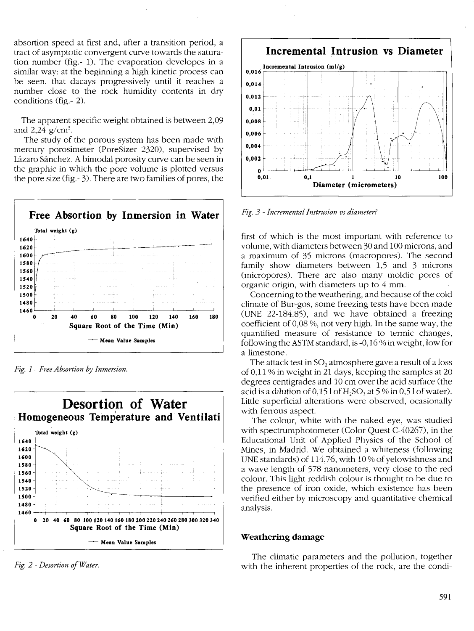absortion speed at first and, after a transition period, a tract of asymptotic convergent curve towards the saturation number (fig.-1). The evaporation developes in a similar way: at the beginning a high kinetic process can be seen, that dacays progressively until it reaches a number close to the rock humidity contents in dry conditions (fig.-2).

The apparent specific weight obtained is between 2,09 and 2.24  $\alpha$ /cm<sup>3</sup>.

The study of the porous system has been made with mercury porosimeter (PoreSizer 2320), supervised by Lázaro Sánchez. A bimodal porosity curve can be seen in the graphic in which the pore volume is plotted versus the pore size (fig.  $-3$ ). There are two families of pores, the



Fig. 1 - Free Absortion by Inmersion.



Fig. 2 - Desortion of Water.



Fig. 3 - Incremental Instrusion vs diameter?

first of which is the most important with reference to volume, with diameters between 30 and 100 microns, and a maximum of 35 microns (macropores). The second family show diameters between 1,5 and 3 microns (micropores). There are also many moldic pores of organic origin, with diameters up to 4 mm.

Concerning to the weathering, and because of the cold climate of Bur-gos, some freezing tests have been made (UNE  $22-184.85$ ), and we have obtained a freezing coefficient of 0.08 %, not very high. In the same way, the quantified measure of resistance to termic changes, following the ASTM standard, is  $-0.16\%$  in weight, low for a limestone.

The attack test in  $SO_2$  atmosphere gave a result of a loss of 0.11 % in weight in 21 days, keeping the samples at 20 degrees centigrades and 10 cm over the acid surface (the acid is a dilution of  $0.151$  of  $H<sub>2</sub>SO<sub>3</sub>$  at 5 % in  $0.51$  of water). Little superficial alterations were observed, ocasionally with ferrous aspect.

The colour, white with the naked eye, was studied with spectrumphotometer (Color Quest C-40267), in the Educational Unit of Applied Physics of the School of Mines, in Madrid. We obtained a whiteness (following UNE standards) of 114,76, with 10% of yelowishness and a wave length of 578 nanometers, very close to the red colour. This light reddish colour is thought to be due to the presence of iron oxide, which existence has been verified either by microscopy and quantitative chemical analysis.

#### Weathering damage

The climatic parameters and the pollution, together with the inherent properties of the rock, are the condi-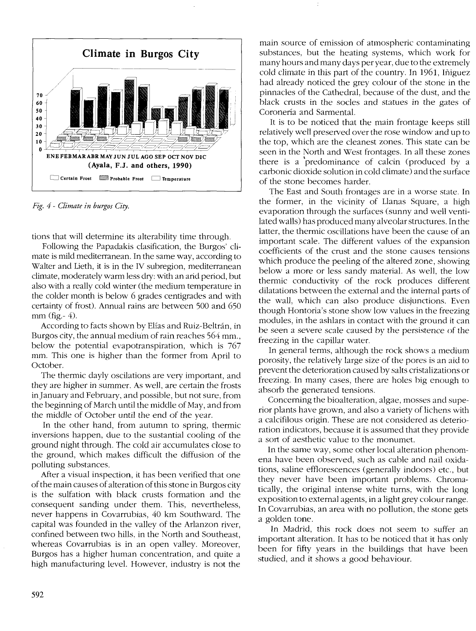

*Fig.* 4 - *Climate in burgos City.*

tions that will determine its alterability time through.

Fo!lowing the Papadakis dasification, the Burgos' dimate is mild mediterranean. In the same way, according to Walter and Lieth, it is in the IV subregion, mediterranean climate, moderately warm less dry: with an arid period, but also with a really cold winter (the medium temperature in the colder month is below 6 grades centigrades and with certainty of frost). Annual rains are between 500 and 650  $mm$  (fig.-4).

According to facts shown by Elías and Ruiz-Beltrán, in Burgos city, the annual medium of rain reaches 564 mm., below the potential evapotranspiration, which is 767 mm. This one is higher than the former from April to October.

The thermic dayly oscilations are very important, and they are higher in summer. As well, are certain the frosts in]anuary and February, and possible, but not sure, from the beginning of March until the middle of May, and from the middle of October until the end of the year.

In the other hand, from autumn to spring, thermic inversions happen, due to the sustantial cooling of the ground night through. The cold air accumulates close to the ground, which makes difficult the diffusion of the polluting substances.

After a visual inspection, it has been verified that one ofthe main causes of alteration ofthis stone in Burgos city is the sulfation with black crusts formation and the consequent sanding under them. This, nevertheless, never happens in Covarrubias, 40 km Southward. The capital was founded in the valley of the Arlanzon river, confined between two hills, in the North and Southeast, whereas Covarrubias is in an open valley. Moreover, Burgos has a higher human concentration, and quite a high manufacturing leve!. However, industry is not the main source of emission of atmospheric contaminating substances, but the heating systems, which work for many hours and many days per year, due to the extremely cold climate in this part of the country. In 1961, Iñiguez had already noticed the grey colour of the stone in the pinnacles of the Cathedral, because of the dust, and the black crusts in the socles and statues in the gates of Coronería and Sarmenta!.

It is to be noticed that the main frontage keeps still relatively well preserved over the rose window and up to the top, which are the cleanest zones. This state can be seen in the North and West frontages. In all these zones there is a 'predominance of calcin (produced by a carbonic dioxide solution in cold climate) and the surface of the stone becomes harder.

The East and South frontages are in a worse state. In the former, in the vicinity of Llanas Square, a high evaporation through the surfaces (sunny and well ventilated walls) has produced many alveolar structures. In the latter, the thermic oscillations have been the cause of an important scale. The different values of the expansion coefficients of the crust and the stone causes tensions which produce the peeling of the altered zone, showing below a more or less sandy material. As well, the low thermic conductivity of the rock produces different dilatations between the external and the internal parts of the wall, which can also produce disjunctions. Even though Hontoria's stone show low values in the freezing modules, in the ashlars in contact with the ground it can be seen a severe scale caused by the persistence of the freezing in the capillar water.

In general terms, although the rock shows a medium porosity, the relatively large size of the pores is an aid to prevent the deterioration caused by salts cristalizations or freezing. In many cases, there are holes big enough to absorb the generated tensions.

Concerning the bioalteration, algae, mosses and superior plants have grown, and also a variety of lichens with a calcifilous origin. These are not considered as deterioration indicators, because it is assumed that they provide a sort of aesthetic value to the monumet.

In the same way, some other local alteration phenomena have been observed, such as cable and nail oxidations, saline efflorescences (generally indoors) etc., but they never have been important problems. Chromatically, the original intense white turns, with the long exposition to external agents, in a light grey colour range. In Covarrubias, an area with no pollution, the stone gets a golden tone.

In Madrid, this rock does not seem to suffer an important alteration. It has to be noticed that it has only been for fifty years in the buildings that have been studied, and it shows a good behaviour.